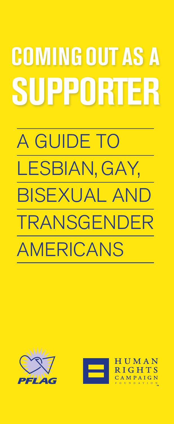# A GUIDE TO LESBIAN, GAY, BISEXUAL AND TRANSGENDER AMERICANS **COMING OUT AS A SUPPORTER**



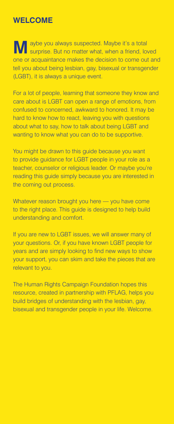# **Welcome**

**M** aybe you always suspected. Maybe it's a total surprise. But no matter what, when a friend, loved one or acquaintance makes the decision to come out and tell you about being lesbian, gay, bisexual or transgender (LGBT), it is always a unique event.

For a lot of people, learning that someone they know and care about is LGBT can open a range of emotions, from confused to concerned, awkward to honored. It may be hard to know how to react, leaving you with questions about what to say, how to talk about being LGBT and wanting to know what you can do to be supportive.

You might be drawn to this guide because you want to provide guidance for LGBT people in your role as a teacher, counselor or religious leader. Or maybe you're reading this guide simply because you are interested in the coming out process.

Whatever reason brought you here — you have come to the right place. This guide is designed to help build understanding and comfort.

If you are new to LGBT issues, we will answer many of your questions. Or, if you have known LGBT people for years and are simply looking to find new ways to show your support, you can skim and take the pieces that are relevant to you.

The Human Rights Campaign Foundation hopes this resource, created in partnership with PFLAG, helps you build bridges of understanding with the lesbian, gay, bisexual and transgender people in your life. Welcome.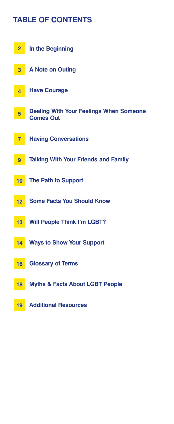# **Table of Contents**

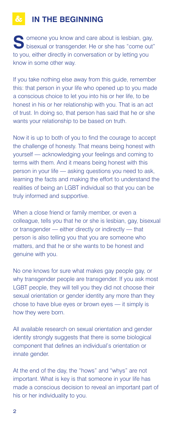# **In the Beginning**

Someone you know and care about is lesbian, gay, bisexual or transgender. He or she has "come out" to you, either directly in conversation or by letting you know in some other way.

If you take nothing else away from this guide, remember this: that person in your life who opened up to you made a conscious choice to let you into his or her life, to be honest in his or her relationship with you. That is an act of trust. In doing so, that person has said that he or she wants your relationship to be based on truth.

Now it is up to both of you to find the courage to accept the challenge of honesty. That means being honest with yourself — acknowledging your feelings and coming to terms with them. And it means being honest with this person in your life — asking questions you need to ask, learning the facts and making the effort to understand the realities of being an LGBT individual so that you can be truly informed and supportive.

When a close friend or family member, or even a colleague, tells you that he or she is lesbian, gay, bisexual or transgender — either directly or indirectly — that person is also telling you that you are someone who matters, and that he or she wants to be honest and genuine with you.

No one knows for sure what makes gay people gay, or why transgender people are transgender. If you ask most LGBT people, they will tell you they did not choose their sexual orientation or gender identity any more than they chose to have blue eyes or brown eyes — it simply is how they were born.

All available research on sexual orientation and gender identity strongly suggests that there is some biological component that defines an individual's orientation or innate gender.

At the end of the day, the "hows" and "whys" are not important. What is key is that someone in your life has made a conscious decision to reveal an important part of his or her individuality to you.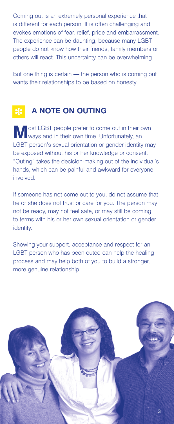Coming out is an extremely personal experience that is different for each person. It is often challenging and evokes emotions of fear, relief, pride and embarrassment. The experience can be daunting, because many LGBT people do not know how their friends, family members or others will react. This uncertainty can be overwhelming.

But one thing is certain — the person who is coming out wants their relationships to be based on honesty.

# **A note on Outing**

**M** ost LGBT people prefer to come out in their own ways and in their own time. Unfortunately, an LGBT person's sexual orientation or gender identity may be exposed without his or her knowledge or consent. "Outing" takes the decision-making out of the individual's hands, which can be painful and awkward for everyone involved.

If someone has not come out to you, do not assume that he or she does not trust or care for you. The person may not be ready, may not feel safe, or may still be coming to terms with his or her own sexual orientation or gender identity.

Showing your support, acceptance and respect for an LGBT person who has been outed can help the healing process and may help both of you to build a stronger, more genuine relationship.

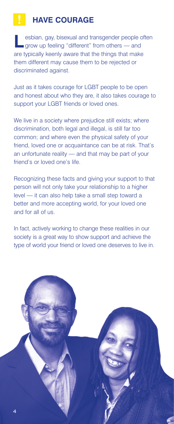# **Have Courage**

**L**esbian, gay, bisexual and transgender people often grow up feeling "different" from others — and are typically keenly aware that the things that make them different may cause them to be rejected or discriminated against.

Just as it takes courage for LGBT people to be open and honest about who they are, it also takes courage to support your LGBT friends or loved ones.

We live in a society where prejudice still exists; where discrimination, both legal and illegal, is still far too common; and where even the physical safety of your friend, loved one or acquaintance can be at risk. That's an unfortunate reality — and that may be part of your friend's or loved one's life.

Recognizing these facts and giving your support to that person will not only take your relationship to a higher level — it can also help take a small step toward a better and more accepting world, for your loved one and for all of us.

In fact, actively working to change these realities in our society is a great way to show support and achieve the type of world your friend or loved one deserves to live in.

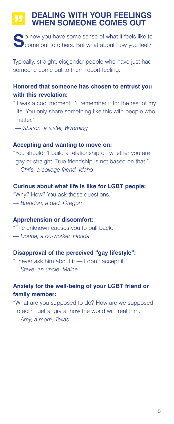### **Dealing With Your Feelings When Someone Comes Out**

**S**o now you have some sense of what it feels like to **Come out to others. But what about how you feel?** 

Typically, straight, cisgender people who have just had someone come out to them report feeling:

### **Honored that someone has chosen to entrust you with this revelation:**

"It was a cool moment. I'll remember it for the rest of my life. You only share something like this with people who matter."

*— Sharon, a sister, Wyoming*

### **Accepting and wanting to move on:**

"You shouldn't build a relationship on whether you are gay or straight. True friendship is not based on that." *— Chris, a college friend, Idaho*

### **Curious about what life is like for LGBT people:**

"Why? How? You ask those questions." *— Brandon, a dad, Oregon* 

### **Apprehension or discomfort:**

"The unknown causes you to pull back." *— Donna, a co-worker, Florida*

### **Disapproval of the perceived "gay lifestyle":**

"I never ask him about it — I don't accept it." *— Steve, an uncle, Maine*

### **Anxiety for the well-being of your LGBT friend or family member:**

"What are you supposed to do? How are we supposed to act? I get angry at how the world will treat him." *— Amy, a mom, Texas*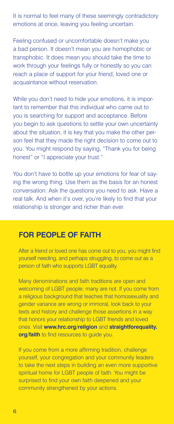It is normal to feel many of these seemingly contradictory emotions at once, leaving you feeling uncertain.

Feeling confused or uncomfortable doesn't make you a bad person. It doesn't mean you are homophobic or transphobic. It does mean you should take the time to work through your feelings fully or honestly so you can reach a place of support for your friend, loved one or acquaintance without reservation.

While you don't need to hide your emotions, it is important to remember that this individual who came out to you is searching for support and acceptance. Before you begin to ask questions to settle your own uncertainty about the situation, it is key that you make the other person feel that they made the right decision to come out to you. You might respond by saying, "Thank you for being honest" or "I appreciate your trust."

You don't have to bottle up your emotions for fear of saying the wrong thing. Use them as the basis for an honest conversation. Ask the questions you need to ask. Have a real talk. And when it's over, you're likely to find that your relationship is stronger and richer than ever.

## **For People of Faith**

After a friend or loved one has come out to you, you might find yourself needing, and perhaps struggling, to come out as a person of faith who supports LGBT equality.

Many denominations and faith traditions are open and welcoming of LGBT people; many are not. If you come from a religious background that teaches that homosexuality and gender variance are wrong or immoral, look back to your texts and history and challenge those assertions in a way that honors your relationship to LGBT friends and loved ones. Visit **www.hrc.org/religion** and **straightforequality. org/faith** to find resources to guide you.

If you come from a more affirming tradition, challenge yourself, your congregation and your community leaders to take the next steps in building an even more supportive spiritual home for LGBT people of faith. You might be surprised to find your own faith deepened and your community strengthened by your actions.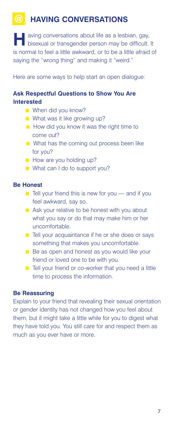# **Having Conversations**

**H**aving conversations about life as a lesbian, gay, bisexual or transgender person may be difficult. It is normal to feel a little awkward, or to be a little afraid of saying the "wrong thing" and making it "weird."

Here are some ways to help start an open dialogue:

### **Ask Respectful Questions to Show You Are Interested**

- When did you know?
- $\blacksquare$  What was it like growing up?
- $\blacksquare$  How did you know it was the right time to come out?
- $\blacksquare$  What has the coming out process been like for you?
- **n** How are you holding up?
- $\blacksquare$  What can I do to support you?

### **Be Honest**

- $\blacksquare$  Tell your friend this is new for you and if you feel awkward, say so.
- Ask your relative to be honest with you about what you say or do that may make him or her uncomfortable.
- Tell your acquaintance if he or she does or says something that makes you uncomfortable.
- Be as open and honest as you would like your friend or loved one to be with you.
- Tell your friend or co-worker that you need a little time to process the information.

### **Be Reassuring**

Explain to your friend that revealing their sexual orientation or gender identity has not changed how you feel about them, but it might take a little while for you to digest what they have told you. You still care for and respect them as much as you ever have or more.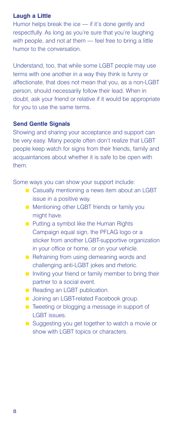### **Laugh a Little**

Humor helps break the ice — if it's done gently and respectfully. As long as you're sure that you're laughing *with* people, and not *at* them — feel free to bring a little humor to the conversation.

Understand, too, that while some LGBT people may use terms with one another in a way they think is funny or affectionate, that does not mean that you, as a non-LGBT person, should necessarily follow their lead. When in doubt, ask your friend or relative if it would be appropriate for you to use the same terms.

### **Send Gentle Signals**

Showing and sharing your acceptance and support can be very easy. Many people often don't realize that LGBT people keep watch for signs from their friends, family and acquaintances about whether it is safe to be open with them.

Some ways you can show your support include:

- Casually mentioning a news item about an LGBT issue in a positive way.
- **n** Mentioning other LGBT friends or family you might have.
- n Putting a symbol like the Human Rights Campaign equal sign, the PFLAG logo or a sticker from another LGBT-supportive organization in your office or home, or on your vehicle.
- $n$  Refraining from using demeaning words and challenging anti-LGBT jokes and rhetoric.
- $\blacksquare$  Inviting your friend or family member to bring their partner to a social event.
- Reading an LGBT publication.
- **n** Joining an LGBT-related Facebook group.
- Tweeting or blogging a message in support of LGBT issues.
- Suggesting you get together to watch a movie or show with LGBT topics or characters.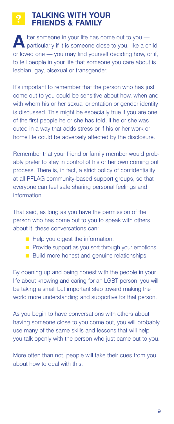## **Talking With Your Friends & Family**

fter someone in your life has come out to you particularly if it is someone close to you, like a child or loved one — you may find yourself deciding how, or if, to tell people in your life that someone you care about is lesbian, gay, bisexual or transgender.

It's important to remember that the person who has just come out to you could be sensitive about how, when and with whom his or her sexual orientation or gender identity is discussed. This might be especially true if you are one of the first people he or she has told, if he or she was outed in a way that adds stress or if his or her work or home life could be adversely affected by the disclosure.

Remember that your friend or family member would probably prefer to stay in control of his or her own coming out process. There is, in fact, a strict policy of confidentiality at all PFLAG community-based support groups, so that everyone can feel safe sharing personal feelings and information.

That said, as long as you have the permission of the person who has come out to you to speak with others about it, these conversations can:

- $\blacksquare$  Help you digest the information.
- **n** Provide support as you sort through your emotions.
- Build more honest and genuine relationships.

By opening up and being honest with the people in your life about knowing and caring for an LGBT person, you will be taking a small but important step toward making the world more understanding and supportive for that person.

As you begin to have conversations with others about having someone close to you come out, you will probably use many of the same skills and lessons that will help you talk openly with the person who just came out to you.

More often than not, people will take their cues from you about how to deal with this.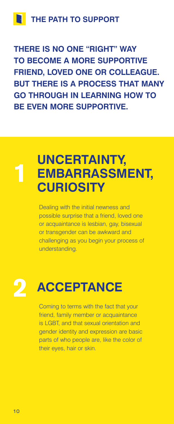**there is no ONE "right" way to become a more supportive friend, loved one or colleague. BUT there is a process that many go through in learning how to BE EVEN MORE SUPPORTIVE.** 

# **uncertainty, embarrassment, curiosity 1**

Dealing with the initial newness and possible surprise that a friend, loved one or acquaintance is lesbian, gay, bisexual or transgender can be awkward and challenging as you begin your process of understanding.

# **2 ACCEPTANCE**

Coming to terms with the fact that your friend, family member or acquaintance is LGBT, and that sexual orientation and gender identity and expression are basic parts of who people are, like the color of their eyes, hair or skin.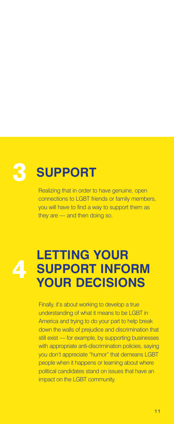# **3 SUPPORT**

Realizing that in order to have genuine, open connections to LGBT friends or family members, you will have to find a way to support them as they are — and then doing so.



# **Letting Your Support Inform Your Decisions 4**

Finally, it's about working to develop a true understanding of what it means to be LGBT in America and trying to do your part to help break down the walls of prejudice and discrimination that still exist — for example, by supporting businesses with appropriate anti-discrimination policies, saying you don't appreciate "humor" that demeans LGBT people when it happens or learning about where political candidates stand on issues that have an impact on the LGBT community.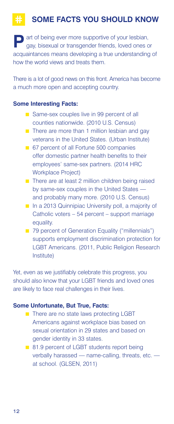# **some facts you should know**

**Part of being ever more supportive of your lesbian,** gay, bisexual or transgender friends, loved ones or acquaintances means developing a true understanding of how the world views and treats them.

There is a lot of good news on this front. America has become a much more open and accepting country.

### **Some Interesting Facts:**

- Same-sex couples live in 99 percent of all counties nationwide. (2010 U.S. Census)
- $\blacksquare$  There are more than 1 million lesbian and gay veterans in the United States. (Urban Institute)
- 67 percent of all Fortune 500 companies offer domestic partner health benefits to their employees' same-sex partners. (2014 HRC Workplace Project)
- There are at least 2 million children being raised by same-sex couples in the United States and probably many more. (2010 U.S. Census)
- n In a 2013 Quinnipiac University poll, a majority of Catholic voters – 54 percent – support marriage equality.
- 79 percent of Generation Equality ("millennials") supports employment discrimination protection for LGBT Americans. (2011, Public Religion Research Institute)

Yet, even as we justifiably celebrate this progress, you should also know that your LGBT friends and loved ones are likely to face real challenges in their lives.

### **Some Unfortunate, But True, Facts:**

- There are no state laws protecting LGBT Americans against workplace bias based on sexual orientation in 29 states and based on gender identity in 33 states.
- 81.9 percent of LGBT students report being verbally harassed — name-calling, threats, etc. at school. (GLSEN, 2011)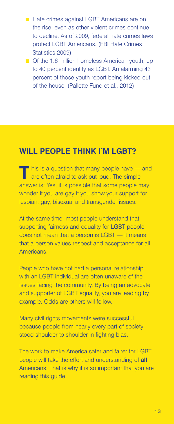- Hate crimes against LGBT Americans are on the rise, even as other violent crimes continue to decline. As of 2009, federal hate crimes laws protect LGBT Americans. (FBI Hate Crimes Statistics 2009)
- Of the 1.6 million homeless American youth, up to 40 percent identify as LGBT. An alarming 43 percent of those youth report being kicked out of the house. (Pallette Fund et al., 2012)

### **Will People Think I'm LGBT?**

**T**his is a question that many people have — and are often afraid to ask out loud. The simple answer is: Yes, it is possible that some people may wonder if you are gay if you show your support for lesbian, gay, bisexual and transgender issues.

At the same time, most people understand that supporting fairness and equality for LGBT people does not mean that a person is LGBT — it means that a person values respect and acceptance for all Americans.

People who have not had a personal relationship with an LGBT individual are often unaware of the issues facing the community. By being an advocate and supporter of LGBT equality, you are leading by example. Odds are others will follow.

Many civil rights movements were successful because people from nearly every part of society stood shoulder to shoulder in fighting bias.

The work to make America safer and fairer for LGBT people will take the effort and understanding of **all** Americans. That is why it is so important that you are reading this guide.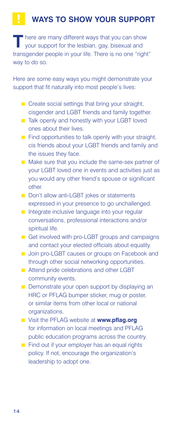# **Ways to show your support**

**T** here are many different ways that you can show your support for the lesbian, gay, bisexual and transgender people in your life. There is no one "right" way to do so.

Here are some easy ways you might demonstrate your support that fit naturally into most people's lives:

- $\blacksquare$  Create social settings that bring your straight, cisgender and LGBT friends and family together.
- Talk openly and honestly with your LGBT loved ones about their lives.
- $\blacksquare$  Find opportunities to talk openly with your straight, cis friends about your LGBT friends and family and the issues they face.
- Make sure that you include the same-sex partner of your LGBT loved one in events and activities just as you would any other friend's spouse or significant other.
- Don't allow anti-LGBT jokes or statements expressed in your presence to go unchallenged.
- $\blacksquare$  Integrate inclusive language into your regular conversations, professional interactions and/or spiritual life.
- Get involved with pro-LGBT groups and campaigns and contact your elected officials about equality.
- Join pro-LGBT causes or groups on Facebook and through other social networking opportunities.
- Attend pride celebrations and other LGBT community events.
- $\blacksquare$  Demonstrate your open support by displaying an HRC or PFLAG bumper sticker, mug or poster, or similar items from other local or national organizations.
- n Visit the PFLAG website at **www.pflag.org** for information on local meetings and PFLAG public education programs across the country.
- $\blacksquare$  Find out if your employer has an equal rights policy. If not, encourage the organization's leadership to adopt one.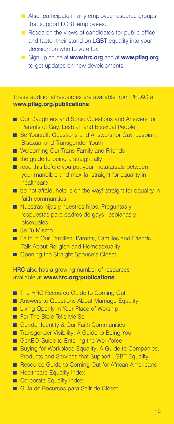- Also, participate in any employee resource groups that support LGBT employees.
- $\blacksquare$  Research the views of candidates for public office and factor their stand on LGBT equality into your decision on who to vote for.
- **n** Sign up online at **www.hrc.org** and at **www.pflag.org** to get updates on new developments.

These additional resources are available from PFLAG at **www.pflag.org/publications**:

- Our Daughters and Sons: Questions and Answers for Parents of Gay, Lesbian and Bisexual People
- Be Yourself: Questions and Answers for Gay, Lesbian, Bisexual and Transgender Youth
- **n** Welcoming Our Trans Family and Friends
- $\blacksquare$  the quide to being a straight ally
- $\blacksquare$  read this before you put your metatarsals between your mandible and maxilla: straight for equality in healthcare
- be not afraid, help is on the way! straight for equality in faith communities
- Nuestras hijas y nuestros hijos: Preguntas y respuestas para padres de gays, lesbianas y bisexuales
- Se Tu Mismo
- Faith in Our Families: Parents, Families and Friends Talk About Religion and Homosexuality
- **n** Opening the Straight Spouse's Closet

HRC also has a growing number of resources available at **www.hrc.org/publications**:

- The HRC Resource Guide to Coming Out
- Answers to Questions About Marriage Equality
- **n** Living Openly in Your Place of Worship
- **n** For The Bible Tells Me So
- Gender Identity & Our Faith Communities
- Transgender Visibility: A Guide to Being You
- GenEQ Guide to Entering the Workforce
- **n** Buying for Workplace Equality: A Guide to Companies, Products and Services that Support LGBT Equality
- Resource Guide to Coming Out for African Americans
- **n** Healthcare Equality Index
- Corporate Equality Index
- n Guía de Recursos para Salir de Clóset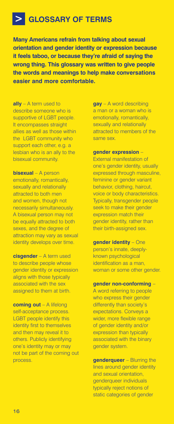# **Glossary of Terms**

**Many Americans refrain from talking about sexual orientation and gender identity or expression because it feels taboo, or because they're afraid of saying the wrong thing. This glossary was written to give people the words and meanings to help make conversations easier and more comfortable.**

**ally** – A term used to describe someone who is supportive of LGBT people. It encompasses straight allies as well as those within the LGBT community who support each other, e.g. a lesbian who is an ally to the bisexual community.

**bisexual** – A person emotionally, romantically, sexually and relationally attracted to both men and women, though not necessarily simultaneously. A bisexual person may not be equally attracted to both sexes, and the degree of attraction may vary as sexual identity develops over time.

**cisgender** – A term used to describe people whose gender identity or expression aligns with those typically associated with the sex assigned to them at birth.

**coming out** – A lifelong self-acceptance process. LGBT people identify this identity first to themselves and then may reveal it to others. Publicly identifying one's identity may or may not be part of the coming out process.

**gay** – A word describing a man or a woman who is emotionally, romantically, sexually and relationally attracted to members of the same sex.

### **gender expression** –

External manifestation of one's gender identity, usually expressed through masculine, feminine or gender variant behavior, clothing, haircut, voice or body characteristics. Typically, transgender people seek to make their gender expression match their gender identity, rather than their birth-assigned sex.

**gender identity** – One person's innate, deeplyknown psychological identification as a man, woman or some other gender.

#### **gender non-conforming** –

A word referring to people who express their gender differently than society's expectations. Conveys a wider, more flexible range of gender identity and/or expression than typically associated with the binary gender system.

**genderqueer** – Blurring the lines around gender identity and sexual orientation, genderqueer individuals typically reject notions of static categories of gender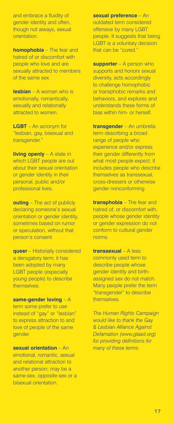and embrace a fluidity of gender identity and often, though not always, sexual orientation.

**homophobia** – The fear and hatred of or discomfort with people who love and are sexually attracted to members of the same sex.

**lesbian** – A woman who is emotionally, romantically, sexually and relationally attracted to women.

**LGBT** – An acronym for "lesbian, gay, bisexual and transgender."

**living openly** – A state in which LGBT people are out about their sexual orientation or gender identity in their personal, public and/or professional lives.

**outing** – The act of publicly declaring someone's sexual orientation or gender identity, sometimes based on rumor or speculation, without that person's consent.

**queer** – Historially considered a derogatory term, it has been adopted by many LGBT people (especially young people) to describe themselves.

### **same-gender loving** – A term some prefer to use instead of "gay" or "lesbian" to express attraction to and

love of people of the same

gender.

**sexual orientation** – An emotional, romantic, sexual and relational attraction to another person; may be a same-sex, opposite-sex or a bisexual orientation.

**sexual preference** – An outdated term considered offensive by many LGBT people. It suggests that being LGBT is a voluntary decision that can be "cured."

**supporter** – A person who supports and honors sexual diversity, acts accordingly to challenge homophobic or transphobic remarks and behaviors, and explores and understands these forms of bias within him- or herself.

**transgender** – An umbrella term describing a broad range of people who experience and/or express their gender differently from what most people expect. It includes people who describe themselves as transsexual, cross-dressers or otherwise gender nonconforming.

**transphobia** – The fear and hatred of, or discomfort with, people whose gender identity or gender expression do not conform to cultural gender norms.

**transsexual** – A less commonly used term to describe people whose gender identity and birthassigned sex do not match. Many people prefer the term "transgender" to describe themselves.

*The Human Rights Campaign would like to thank the Gay & Lesbian Alliance Against Defamation (www.glaad.org) for providing definitions for many of these terms.*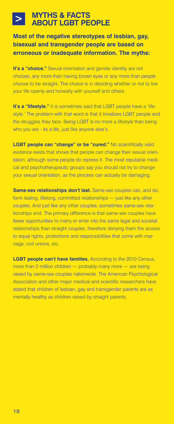### **Myths & Facts About LGBT People**

**Most of the negative stereotypes of lesbian, gay, bisexual and transgender people are based on erroneous or inadequate information. The myths:**

**It's a "choice."** Sexual orientation and gender identity are not choices, any more than having brown eyes or any more than *people choose* to be straight. The choice is in deciding whether or not to live your life openly and honestly with yourself and others.

**It's a "lifestyle."** It is sometimes said that LGBT people have a 'lifestyle.' The problem with that word is that it trivializes LGBT people and the struggles they face. Being LGBT is no more a lifestyle than being who you are - its a life, just like anyone else's.

**LGBT people can "change" or be "cured."** No scientifically valid evidence exists that shows that people can change their sexual orientation, although some people do repress it. The most reputable medical and psychotherapeutic groups say you should not try to change your sexual orientation, as the process can actually be damaging.

**Same-sex relationships don't last.** Same-sex couples can, and do, form lasting, lifelong, committed relationships — just like any other couples. And just like any other couples, sometimes same-sex relationships end. The primary difference is that same-sex couples have fewer opportunities to marry or enter into the same legal and societal relationships than straight couples, therefore denying them the access to equal rights, protections and responsibilities that come with marriage, civil unions, etc.

**LGBT people can't have families.** According to the 2010 Census, more than 2 million children — probably many more — are being raised by same-sex couples nationwide. The American Psychological Association and other major medical and scientific researchers have stated that children of lesbian, gay and transgender parents are as mentally healthy as children raised by straight parents.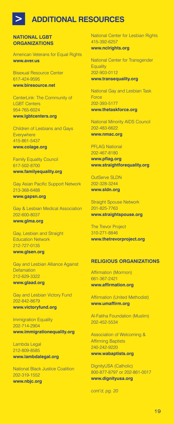# **ADDITIONAL RESOURCES**

#### **National LGBT Organizations**

American Veterans for Equal Rights **www.aver.us**

Bisexual Resource Center 617-424-9595 **www.biresource.net**

CenterLink: The Community of LGBT Centers 954-765-6024 **www.lgbtcenters.org**

Children of Lesbians and Gays **Everywhere** 415-861-5437 **www.colage.org**

Family Equality Council 617-502-8700 **www.familyequality.org**

Gay Asian Pacific Support Network 213-368-6488 **www.gapsn.org**

Gay & Lesbian Medical Association 202-600-8037 **www.glma.org**

Gay, Lesbian and Straight Education Network 212-727-0135 **www.glsen.org**

Gay and Lesbian Alliance Against Defamation 212-629-3322 **www.glaad.org**

Gay and Lesbian Victory Fund 202-842-8679 **www.victoryfund.org**

**Immigration Equality** 202-714-2904 **www.immigrationequality.org**

Lambda Legal 212-809-8585 **www.lambdalegal.org**

National Black Justice Coalition 202-319-1552 **www.nbjc.org**

National Center for Lesbian Rights 415-392-6257 **www.nclrights.org**

National Center for Transgender **Equality** 202-903-0112 **www.transequality.org**

National Gay and Lesbian Task Force 202-393-5177 **www.thetaskforce.org**

National Minority AIDS Council 202-483-6622 **www.nmac.org**

PFLAG National

202-467-8180 **www.pflag.org www.straightforequality.org**

OutServe SLDN 202-328-3244 **www.sldn.org**

Straight Spouse Network 201-825-7763 **www.straightspouse.org**

The Trevor Project 310-271-8846 **www.thetrevorproject.org**

#### **Religious Organizations**

Affirmation (Mormon) 661-367-2421 **www.affirmation.org**

Affirmation (United Methodist) **www.umaffirm.org**

Al-Fatiha Foundation (Muslim) 202-452-5534

Association of Welcoming & Affirming Baptists 240-242-9220 **www.wabaptists.org**

DignityUSA (Catholic) 800-877-8797 or 202-861-0017 **www.dignityusa.org**

*cont'd, pg. 20*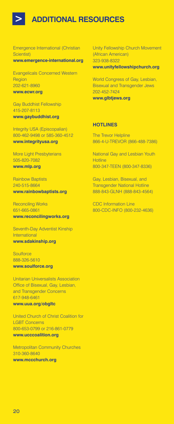# **ADDITIONAL RESOURCES**

Emergence International (Christian Scientist)

**www.emergence-international.org**

Evangelicals Concerned Western Region 202-621-8960 **www.ecwr.org**

Gay Buddhist Fellowship 415-207-8113 **www.gaybuddhist.org**

Integrity USA (Episcopalian) 800-462-9498 or 585-360-4512 **www.integrityusa.org**

More Light Presbyterians 505-820-7082 **www.mlp.org**

Rainbow Baptists 240-515-8664 **www.rainbowbaptists.org**

Reconciling Works 651-665-0861 **www.reconcilingworks.org**

Seventh-Day Adventist Kinship International **www.sdakinship.org**

**Soulforce** 888-326-5610 **www.soulforce.org**

Unitarian Universalists Association Office of Bisexual, Gay, Lesbian, and Transgender Concerns 617-948-6461 **www.uua.org/obgltc**

United Church of Christ Coalition for LGBT Concerns 800-653-0799 or 216-861-0779 **www.ucccoalition.org**

Metropolitan Community Churches 310-360-8640

**www.mccchurch.org**

Unity Fellowship Church Movement (African American) 323-938-8322 **www.unityfellowshipchurch.org**

World Congress of Gay, Lesbian, Bisexual and Transgender Jews 202-452-7424 **www.glbtjews.org**

### **Hotlines**

The Trevor Helpline 866-4-U-TREVOR (866-488-7386)

National Gay and Lesbian Youth **Hotline** 800-347-TEEN (800-347-8336)

Gay, Lesbian, Bisexual, and Transgender National Hotline 888-843-GLNH (888-843-4564)

CDC Information Line 800-CDC-INFO (800-232-4636)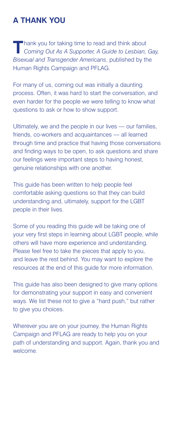# **A THank YOu**

**T** hank you for taking time to read and think about Coming Out As A Supporter, A Guide to Lesbian, Gay, *Bisexual and Transgender Americans*, published by the Human Rights Campaign and PFLAG.

For many of us, coming out was initially a daunting process. Often, it was hard to start the conversation, and even harder for the people we were telling to know what questions to ask or how to show support.

Ultimately, we and the people in our lives — our families, friends, co-workers and acquaintances — all learned through time and practice that having those conversations and finding ways to be open, to ask questions and share our feelings were important steps to having honest, genuine relationships with one another.

This guide has been written to help people feel comfortable asking questions so that they can build understanding and, ultimately, support for the LGBT people in their lives.

Some of you reading this guide will be taking one of your very first steps in learning about LGBT people, while others will have more experience and understanding. Please feel free to take the pieces that apply to you, and leave the rest behind. You may want to explore the resources at the end of this guide for more information.

This guide has also been designed to give many options for demonstrating your support in easy and convenient ways. We list these not to give a "hard push," but rather to give you choices.

Wherever you are on your journey, the Human Rights Campaign and PFLAG are ready to help you on your path of understanding and support. Again, thank you and welcome.